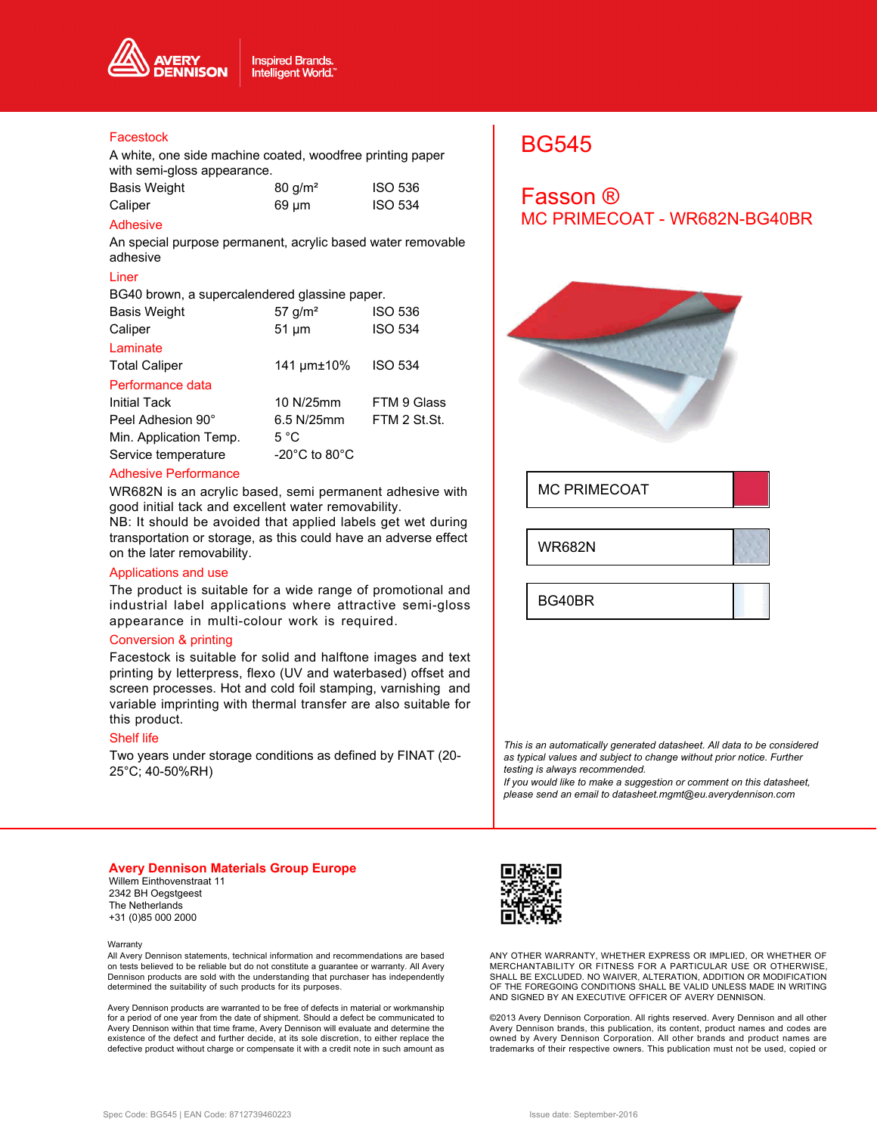

### Facestock

A white, one side machine coated, woodfree printing paper with semi-gloss appearance.

| Basis Weight | $80$ g/m <sup>2</sup> | <b>ISO 536</b> |
|--------------|-----------------------|----------------|
| Caliper      | 69 µm                 | <b>ISO 534</b> |

## Adhesive

An special purpose permanent, acrylic based water removable adhesive

## Liner

BG40 brown, a supercalendered glassine paper.

| <b>Basis Weight</b>    | 57 $g/m2$                           | <b>ISO 536</b> |
|------------------------|-------------------------------------|----------------|
| Caliper                | $51 \mu m$                          | <b>ISO 534</b> |
| Laminate               |                                     |                |
| <b>Total Caliper</b>   | 141 µm±10%                          | <b>ISO 534</b> |
| Performance data       |                                     |                |
| Initial Tack           | 10 N/25mm                           | FTM 9 Glass    |
| Peel Adhesion 90°      | 6.5 N/25mm                          | FTM 2 St.St.   |
| Min. Application Temp. | $5^{\circ}$ C                       |                |
| Service temperature    | -20 $^{\circ}$ C to 80 $^{\circ}$ C |                |

#### Adhesive Performance

WR682N is an acrylic based, semi permanent adhesive with good initial tack and excellent water removability.

NB: It should be avoided that applied labels get wet during transportation or storage, as this could have an adverse effect on the later removability.

## Applications and use

The product is suitable for a wide range of promotional and industrial label applications where attractive semi-gloss appearance in multi-colour work is required.

#### Conversion & printing

Facestock is suitable for solid and halftone images and text printing by letterpress, flexo (UV and waterbased) offset and screen processes. Hot and cold foil stamping, varnishing and variable imprinting with thermal transfer are also suitable for this product.

#### Shelf life

Two years under storage conditions as defined by FINAT (20- 25°C; 40-50%RH)

# BG545

## Fasson ® MC PRIMECOAT - WR682N-BG40BR



MC PRIMECOAT

WR682N

BG40BR

*This is an automatically generated datasheet. All data to be considered as typical values and subject to change without prior notice. Further testing is always recommended.*

*If you would like to make a suggestion or comment on this datasheet, please send an email to datasheet.mgmt@eu.averydennison.com*

#### **Avery Dennison Materials Group Europe**

Willem Einthovenstraat 11 2342 BH Oegstgeest The Netherlands +31 (0)85 000 2000

#### **Warranty**

All Avery Dennison statements, technical information and recommendations are based on tests believed to be reliable but do not constitute a guarantee or warranty. All Avery Dennison products are sold with the understanding that purchaser has independently determined the suitability of such products for its purposes.

Avery Dennison products are warranted to be free of defects in material or workmanship for a period of one year from the date of shipment. Should a defect be communicated to Avery Dennison within that time frame, Avery Dennison will evaluate and determine the existence of the defect and further decide, at its sole discretion, to either replace the defective product without charge or compensate it with a credit note in such amount as



ANY OTHER WARRANTY, WHETHER EXPRESS OR IMPLIED, OR WHETHER OF MERCHANTABILITY OR FITNESS FOR A PARTICULAR USE OR OTHERWISE, SHALL BE EXCLUDED. NO WAIVER, ALTERATION, ADDITION OR MODIFICATION OF THE FOREGOING CONDITIONS SHALL BE VALID UNLESS MADE IN WRITING AND SIGNED BY AN EXECUTIVE OFFICER OF AVERY DENNISON.

©2013 Avery Dennison Corporation. All rights reserved. Avery Dennison and all other Avery Dennison brands, this publication, its content, product names and codes are owned by Avery Dennison Corporation. All other brands and product names are trademarks of their respective owners. This publication must not be used, copied or